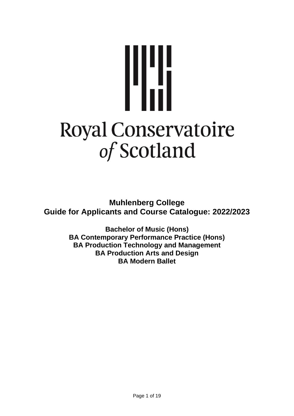# Wä **Royal Conservatoire** of Scotland

**Muhlenberg College Guide for Applicants and Course Catalogue: 2022/2023**

> **Bachelor of Music (Hons) BA Contemporary Performance Practice (Hons) BA Production Technology and Management BA Production Arts and Design BA Modern Ballet**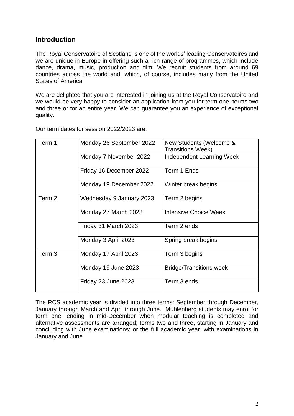# **Introduction**

The Royal Conservatoire of Scotland is one of the worlds' leading Conservatoires and we are unique in Europe in offering such a rich range of programmes, which include dance, drama, music, production and film. We recruit students from around 69 countries across the world and, which, of course, includes many from the United States of America.

We are delighted that you are interested in joining us at the Royal Conservatoire and we would be very happy to consider an application from you for term one, terms two and three or for an entire year. We can guarantee you an experience of exceptional quality.

| Term 1            | Monday 26 September 2022 | New Students (Welcome &<br><b>Transitions Week)</b> |
|-------------------|--------------------------|-----------------------------------------------------|
|                   | Monday 7 November 2022   | Independent Learning Week                           |
|                   | Friday 16 December 2022  | Term 1 Ends                                         |
|                   | Monday 19 December 2022  | Winter break begins                                 |
| Term 2            | Wednesday 9 January 2023 | Term 2 begins                                       |
|                   | Monday 27 March 2023     | <b>Intensive Choice Week</b>                        |
|                   | Friday 31 March 2023     | Term 2 ends                                         |
|                   | Monday 3 April 2023      | Spring break begins                                 |
| Term <sub>3</sub> | Monday 17 April 2023     | Term 3 begins                                       |
|                   | Monday 19 June 2023      | <b>Bridge/Transitions week</b>                      |
|                   | Friday 23 June 2023      | Term 3 ends                                         |

Our term dates for session 2022/2023 are:

The RCS academic year is divided into three terms: September through December, January through March and April through June. Muhlenberg students may enrol for term one, ending in mid-December when modular teaching is completed and alternative assessments are arranged; terms two and three, starting in January and concluding with June examinations; or the full academic year, with examinations in January and June.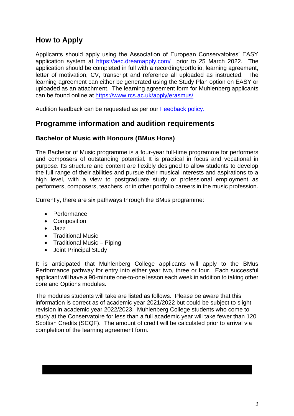# **How to Apply**

Applicants should apply using the Association of European Conservatoires' EASY application system at <https://aec.dreamapply.com/> prior to 25 March 2022. The application should be completed in full with a recording/portfolio, learning agreement, letter of motivation, CV, transcript and reference all uploaded as instructed. The learning agreement can either be generated using the Study Plan option on EASY or uploaded as an attachment. The learning agreement form for Muhlenberg applicants can be found online at <https://www.rcs.ac.uk/apply/erasmus/>

Audition feedback can be requested as per our [Feedback policy.](chrome-extension://efaidnbmnnnibpcajpcglclefindmkaj/viewer.html?pdfurl=https%3A%2F%2Fwww.rcs.ac.uk%2Fwp-content%2Fuploads%2F2021%2F01%2FFeedback-Policy.pdf&clen=106941&chunk=true)

# **Programme information and audition requirements**

# **Bachelor of Music with Honours (BMus Hons)**

The Bachelor of Music programme is a four-year full-time programme for performers and composers of outstanding potential. It is practical in focus and vocational in purpose. Its structure and content are flexibly designed to allow students to develop the full range of their abilities and pursue their musical interests and aspirations to a high level, with a view to postgraduate study or professional employment as performers, composers, teachers, or in other portfolio careers in the music profession.

Currently, there are six pathways through the BMus programme:

- Performance
- Composition
- Jazz
- Traditional Music
- Traditional Music Piping
- Joint Principal Study

It is anticipated that Muhlenberg College applicants will apply to the BMus Performance pathway for entry into either year two, three or four. Each successful applicant will have a 90-minute one-to-one lesson each week in addition to taking other core and Options modules.

The modules students will take are listed as follows. Please be aware that this information is correct as of academic year 2021/2022 but could be subject to slight revision in academic year 2022/2023. Muhlenberg College students who come to study at the Conservatoire for less than a full academic year will take fewer than 120 Scottish Credits (SCQF). The amount of credit will be calculated prior to arrival via completion of the learning agreement form.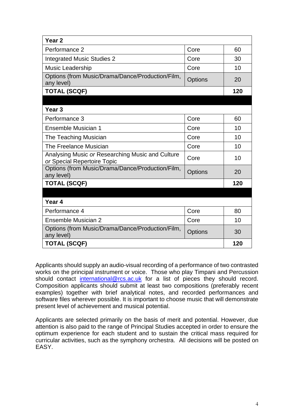| Year <sub>2</sub>                                                               |                |     |
|---------------------------------------------------------------------------------|----------------|-----|
| Performance 2                                                                   | Core           | 60  |
| <b>Integrated Music Studies 2</b>                                               | Core           | 30  |
| <b>Music Leadership</b>                                                         | Core           | 10  |
| Options (from Music/Drama/Dance/Production/Film,<br>any level)                  | <b>Options</b> | 20  |
| <b>TOTAL (SCQF)</b>                                                             |                | 120 |
|                                                                                 |                |     |
| Year <sub>3</sub>                                                               |                |     |
| Performance 3                                                                   | Core           | 60  |
| Ensemble Musician 1                                                             | Core           | 10  |
| The Teaching Musician                                                           | Core           | 10  |
| The Freelance Musician                                                          | Core           | 10  |
| Analysing Music or Researching Music and Culture<br>or Special Repertoire Topic | Core           | 10  |
| Options (from Music/Drama/Dance/Production/Film,<br>any level)                  | Options        | 20  |
| <b>TOTAL (SCQF)</b>                                                             |                |     |
|                                                                                 |                |     |
| Year <sub>4</sub>                                                               |                |     |
| Performance 4                                                                   | Core           | 80  |
| Ensemble Musician 2                                                             | Core           | 10  |
| Options (from Music/Drama/Dance/Production/Film,<br>any level)                  | <b>Options</b> | 30  |
| <b>TOTAL (SCQF)</b>                                                             |                | 120 |

Applicants should supply an audio-visual recording of a performance of two contrasted works on the principal instrument or voice. Those who play Timpani and Percussion should contact [international@rcs.ac.uk](mailto:international@rcs.ac.uk) for a list of pieces they should record. Composition applicants should submit at least two compositions (preferably recent examples) together with brief analytical notes, and recorded performances and software files wherever possible. It is important to choose music that will demonstrate present level of achievement and musical potential.

Applicants are selected primarily on the basis of merit and potential. However, due attention is also paid to the range of Principal Studies accepted in order to ensure the optimum experience for each student and to sustain the critical mass required for curricular activities, such as the symphony orchestra. All decisions will be posted on EASY.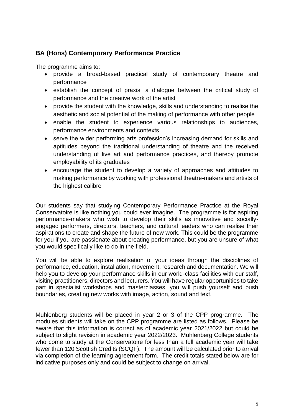# **BA (Hons) Contemporary Performance Practice**

The programme aims to:

- provide a broad-based practical study of contemporary theatre and performance
- establish the concept of praxis, a dialogue between the critical study of performance and the creative work of the artist
- provide the student with the knowledge, skills and understanding to realise the aesthetic and social potential of the making of performance with other people
- enable the student to experience various relationships to audiences, performance environments and contexts
- serve the wider performing arts profession's increasing demand for skills and aptitudes beyond the traditional understanding of theatre and the received understanding of live art and performance practices, and thereby promote employability of its graduates
- encourage the student to develop a variety of approaches and attitudes to making performance by working with professional theatre-makers and artists of the highest calibre

Our students say that studying Contemporary Performance Practice at the Royal Conservatoire is like nothing you could ever imagine. The programme is for aspiring performance-makers who wish to develop their skills as innovative and sociallyengaged performers, directors, teachers, and cultural leaders who can realise their aspirations to create and shape the future of new work. This could be the programme for you if you are passionate about creating performance, but you are unsure of what you would specifically like to do in the field.

You will be able to explore realisation of your ideas through the disciplines of performance, education, installation, movement, research and documentation. We will help you to develop your performance skills in our world-class facilities with our staff, visiting practitioners, directors and lecturers. You will have regular opportunities to take part in specialist workshops and masterclasses, you will push yourself and push boundaries, creating new works with image, action, sound and text.

Muhlenberg students will be placed in year 2 or 3 of the CPP programme. The modules students will take on the CPP programme are listed as follows. Please be aware that this information is correct as of academic year 2021/2022 but could be subject to slight revision in academic year 2022/2023. Muhlenberg College students who come to study at the Conservatoire for less than a full academic year will take fewer than 120 Scottish Credits (SCQF). The amount will be calculated prior to arrival via completion of the learning agreement form. The credit totals stated below are for indicative purposes only and could be subject to change on arrival.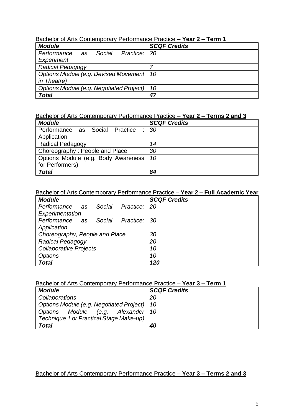|--|

| <b>Module</b>                                 | <b>SCQF Credits</b> |
|-----------------------------------------------|---------------------|
| Performance<br>Social<br>Practice:   20<br>as |                     |
| Experiment                                    |                     |
| <b>Radical Pedagogy</b>                       |                     |
| Options Module (e.g. Devised Movement   10    |                     |
| in Theatre)                                   |                     |
| Options Module (e.g. Negotiated Project)      | 10                  |
| Total                                         | 47                  |

# Bachelor of Arts Contemporary Performance Practice – **Year 2 – Terms 2 and 3**

| <b>Module</b>                       | <b>SCQF Credits</b> |
|-------------------------------------|---------------------|
| Performance as Social Practice      | 30                  |
| Application                         |                     |
| <b>Radical Pedagogy</b>             | 14                  |
| Choreography: People and Place      | 30                  |
| Options Module (e.g. Body Awareness | 10                  |
| for Performers)                     |                     |
| <b>Total</b>                        | 84                  |

# Bachelor of Arts Contemporary Performance Practice – **Year 2 – Full Academic Year**

| <b>Module</b>                           | <b>SCQF Credits</b> |
|-----------------------------------------|---------------------|
| Performance as<br>Social Practice:   20 |                     |
| Experimentation                         |                     |
| Performance as Social Practice: 30      |                     |
| Application                             |                     |
| Choreography, People and Place          | 30                  |
| <b>Radical Pedagogy</b>                 | 20                  |
| <b>Collaborative Projects</b>           | 10                  |
| <b>Options</b>                          | 10                  |
| <b>Total</b>                            | 120                 |

## Bachelor of Arts Contemporary Performance Practice – **Year 3 – Term 1**

| <b>Module</b>                                 | <b>SCQF Credits</b> |
|-----------------------------------------------|---------------------|
| Collaborations                                | 20                  |
| Options Module (e.g. Negotiated Project)   10 |                     |
| Options Module (e.g. Alexander 10             |                     |
| Technique 1 or Practical Stage Make-up)       |                     |
| <b>Total</b>                                  | 40                  |

# Bachelor of Arts Contemporary Performance Practice – **Year 3 – Terms 2 and 3**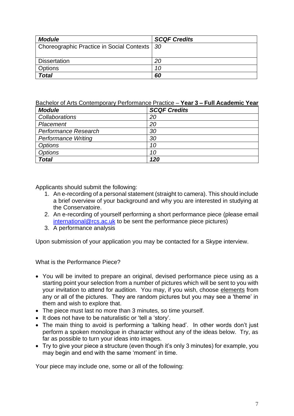| <b>Module</b>                                  | <b>SCQF Credits</b> |
|------------------------------------------------|---------------------|
| Choreographic Practice in Social Contexts   30 |                     |
|                                                |                     |
| <b>Dissertation</b>                            | 20                  |
| <b>Options</b>                                 | 10                  |
| <b>Total</b>                                   | 60                  |

#### Bachelor of Arts Contemporary Performance Practice – **Year 3 – Full Academic Year**

| <b>Module</b>              | <b>SCQF Credits</b> |
|----------------------------|---------------------|
| Collaborations             | 20                  |
| Placement                  | 20                  |
| Performance Research       | 30                  |
| <b>Performance Writing</b> | 30                  |
| <b>Options</b>             | 10                  |
| Options                    | 10                  |
| <b>Total</b>               | 120                 |

Applicants should submit the following:

- 1. An e-recording of a personal statement (straight to camera). This should include a brief overview of your background and why you are interested in studying at the Conservatoire.
- 2. An e-recording of yourself performing a short performance piece (please email [international@rcs.ac.uk](mailto:international@rcs.ac.uk) to be sent the performance piece pictures)
- 3. A performance analysis

Upon submission of your application you may be contacted for a Skype interview.

What is the Performance Piece?

- You will be invited to prepare an original, devised performance piece using as a starting point your selection from a number of pictures which will be sent to you with your invitation to attend for audition. You may, if you wish, choose elements from any or all of the pictures. They are random pictures but you may see a 'theme' in them and wish to explore that.
- The piece must last no more than 3 minutes, so time yourself.
- It does not have to be naturalistic or 'tell a 'story'.
- The main thing to avoid is performing a 'talking head'. In other words don't just perform a spoken monologue in character without any of the ideas below. Try, as far as possible to turn your ideas into images.
- Try to give your piece a structure (even though it's only 3 minutes) for example, you may begin and end with the same 'moment' in time.

Your piece may include one, some or all of the following: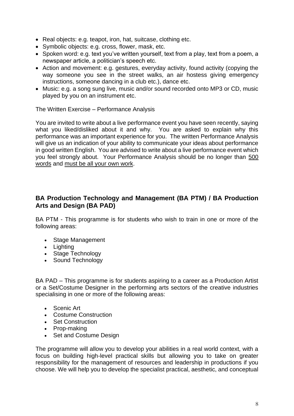- Real objects: e.g. teapot, iron, hat, suitcase, clothing etc.
- Symbolic objects: e.g. cross, flower, mask, etc.
- Spoken word: e.g. text you've written yourself, text from a play, text from a poem, a newspaper article, a politician's speech etc.
- Action and movement: e.g. gestures, everyday activity, found activity (copying the way someone you see in the street walks, an air hostess giving emergency instructions, someone dancing in a club etc.), dance etc.
- Music: e.g. a song sung live, music and/or sound recorded onto MP3 or CD, music played by you on an instrument etc.

The Written Exercise – Performance Analysis

You are invited to write about a live performance event you have seen recently, saying what you liked/disliked about it and why. You are asked to explain why this performance was an important experience for you. The written Performance Analysis will give us an indication of your ability to communicate your ideas about performance in good written English. You are advised to write about a live performance event which you feel strongly about. Your Performance Analysis should be no longer than 500 words and must be all your own work.

# **BA Production Technology and Management (BA PTM) / BA Production Arts and Design (BA PAD)**

BA PTM - This programme is for students who wish to train in one or more of the following areas:

- Stage Management
- Lighting
- Stage Technology
- Sound Technology

BA PAD – This programme is for students aspiring to a career as a Production Artist or a Set/Costume Designer in the performing arts sectors of the creative industries specialising in one or more of the following areas:

- Scenic Art
- Costume Construction
- Set Construction
- Prop-making
- Set and Costume Design

The programme will allow you to develop your abilities in a real world context, with a focus on building high-level practical skills but allowing you to take on greater responsibility for the management of resources and leadership in productions if you choose. We will help you to develop the specialist practical, aesthetic, and conceptual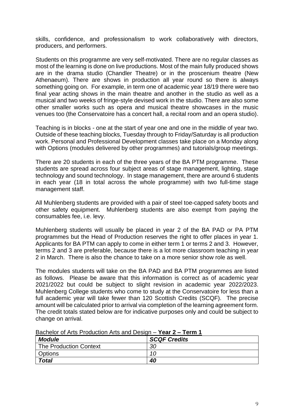skills, confidence, and professionalism to work collaboratively with directors, producers, and performers.

Students on this programme are very self-motivated. There are no regular classes as most of the learning is done on live productions. Most of the main fully produced shows are in the drama studio (Chandler Theatre) or in the proscenium theatre (New Athenaeum). There are shows in production all year round so there is always something going on. For example, in term one of academic year 18/19 there were two final year acting shows in the main theatre and another in the studio as well as a musical and two weeks of fringe-style devised work in the studio. There are also some other smaller works such as opera and musical theatre showcases in the music venues too (the Conservatoire has a concert hall, a recital room and an opera studio).

Teaching is in blocks - one at the start of year one and one in the middle of year two. Outside of these teaching blocks, Tuesday through to Friday/Saturday is all production work. Personal and Professional Development classes take place on a Monday along with Options (modules delivered by other programmes) and tutorials/group meetings.

There are 20 students in each of the three years of the BA PTM programme. These students are spread across four subject areas of stage management, lighting, stage technology and sound technology. In stage management, there are around 6 students in each year (18 in total across the whole programme) with two full-time stage management staff.

All Muhlenberg students are provided with a pair of steel toe-capped safety boots and other safety equipment. Muhlenberg students are also exempt from paying the consumables fee, i.e. levy.

Muhlenberg students will usually be placed in year 2 of the BA PAD or PA PTM programmes but the Head of Production reserves the right to offer places in year 1. Applicants for BA PTM can apply to come in either term 1 or terms 2 and 3. However, terms 2 and 3 are preferable, because there is a lot more classroom teaching in year 2 in March. There is also the chance to take on a more senior show role as well.

The modules students will take on the BA PAD and BA PTM programmes are listed as follows. Please be aware that this information is correct as of academic year 2021/2022 but could be subject to slight revision in academic year 2022/2023. Muhlenberg College students who come to study at the Conservatoire for less than a full academic year will take fewer than 120 Scottish Credits (SCQF). The precise amount will be calculated prior to arrival via completion of the learning agreement form. The credit totals stated below are for indicative purposes only and could be subject to change on arrival.

| <b>Module</b>                 | <b>SCQF Credits</b> |
|-------------------------------|---------------------|
| <b>The Production Context</b> | 30                  |
| Options                       | 10                  |
| <b>Total</b>                  | 40                  |

## Bachelor of Arts Production Arts and Design – **Year 2 – Term 1**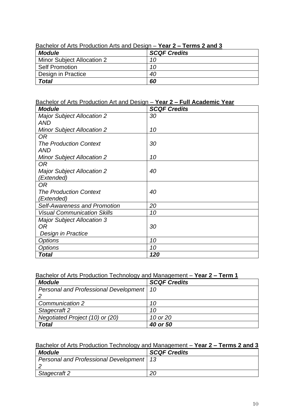| <b>Davilous U. Alito I Toddotion Alito and Dobign</b><br>$1$ val $2 - 1$ villio 2 and 0 |                     |
|-----------------------------------------------------------------------------------------|---------------------|
| <b>Module</b>                                                                           | <b>SCQF Credits</b> |
| Minor Subject Allocation 2                                                              | 10                  |
| <b>Self Promotion</b>                                                                   | 10                  |
| Design in Practice                                                                      | 40                  |
| <b>Total</b>                                                                            | 60                  |

## Bachelor of Arts Production Arts and Design – **Year 2 – Terms 2 and 3**

# Bachelor of Arts Production Art and Design – **Year 2 – Full Academic Year**

| <b>Module</b>                       | <b>SCQF Credits</b> |
|-------------------------------------|---------------------|
| <b>Major Subject Allocation 2</b>   | 30                  |
| <b>AND</b>                          |                     |
| <b>Minor Subject Allocation 2</b>   | 10                  |
| 0R                                  |                     |
| <b>The Production Context</b>       | 30                  |
| AND                                 |                     |
| <b>Minor Subject Allocation 2</b>   | 10                  |
| OR.                                 |                     |
| <b>Major Subject Allocation 2</b>   | 40                  |
| (Extended)                          |                     |
| OR.                                 |                     |
| <b>The Production Context</b>       | 40                  |
| (Extended)                          |                     |
| <b>Self-Awareness and Promotion</b> | 20                  |
| <b>Visual Communication Skills</b>  | 10                  |
| <b>Major Subject Allocation 3</b>   |                     |
| 0R                                  | 30                  |
| Design in Practice                  |                     |
| <b>Options</b>                      | 10                  |
| <b>Options</b>                      | 10                  |
| <b>Total</b>                        | 120                 |

# Bachelor of Arts Production Technology and Management – **Year 2 – Term 1**

| <b>Module</b>                              | <b>SCQF Credits</b> |
|--------------------------------------------|---------------------|
| Personal and Professional Development   10 |                     |
|                                            |                     |
| Communication 2                            | 10                  |
| Stagecraft 2                               | 10                  |
| Negotiated Project (10) or (20)            | 10 or 20            |
| <b>Total</b>                               | 40 or 50            |

# Bachelor of Arts Production Technology and Management – **Year 2 – Terms 2 and 3**

| <b>Module</b>                              | <b>SCQF Credits</b> |
|--------------------------------------------|---------------------|
| Personal and Professional Development   13 |                     |
|                                            |                     |
| Stagecraft 2                               |                     |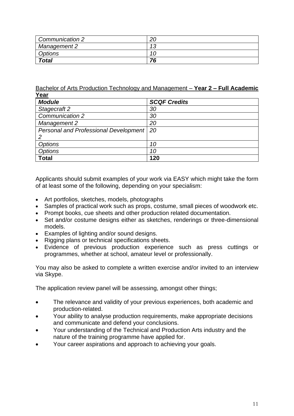| Communication 2     | nr. |
|---------------------|-----|
| <b>Management 2</b> | 12  |
| Options             |     |
| <b>Total</b>        | 76  |

Bachelor of Arts Production Technology and Management – **Year 2 – Full Academic Year**

| <b>Module</b>                         | <b>SCQF Credits</b> |
|---------------------------------------|---------------------|
| Stagecraft 2                          | 30                  |
| Communication 2                       | 30                  |
| <b>Management 2</b>                   | 20                  |
| Personal and Professional Development | 20                  |
|                                       |                     |
| <b>Options</b>                        | 10                  |
| <b>Options</b>                        | 10                  |
| <b>Total</b>                          | 120                 |

Applicants should submit examples of your work via EASY which might take the form of at least some of the following, depending on your specialism:

- Art portfolios, sketches, models, photographs
- Samples of practical work such as props, costume, small pieces of woodwork etc.
- Prompt books, cue sheets and other production related documentation.
- Set and/or costume designs either as sketches, renderings or three-dimensional models.
- Examples of lighting and/or sound designs.
- Rigging plans or technical specifications sheets.
- Evidence of previous production experience such as press cuttings or programmes, whether at school, amateur level or professionally.

You may also be asked to complete a written exercise and/or invited to an interview via Skype.

The application review panel will be assessing, amongst other things;

- The relevance and validity of your previous experiences, both academic and production-related.
- Your ability to analyse production requirements, make appropriate decisions and communicate and defend your conclusions.
- Your understanding of the Technical and Production Arts industry and the nature of the training programme have applied for.
- Your career aspirations and approach to achieving your goals.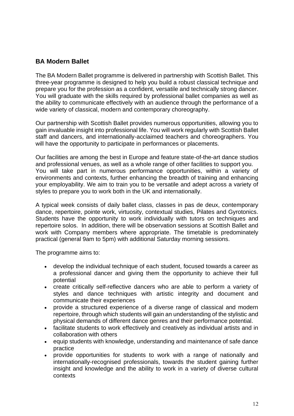# **BA Modern Ballet**

The BA Modern Ballet programme is delivered in partnership with Scottish Ballet. This three-year programme is designed to help you build a robust classical technique and prepare you for the profession as a confident, versatile and technically strong dancer. You will graduate with the skills required by professional ballet companies as well as the ability to communicate effectively with an audience through the performance of a wide variety of classical, modern and contemporary choreography.

Our partnership with Scottish Ballet provides numerous opportunities, allowing you to gain invaluable insight into professional life. You will work regularly with Scottish Ballet staff and dancers, and internationally-acclaimed teachers and choreographers. You will have the opportunity to participate in performances or placements.

Our facilities are among the best in Europe and feature state-of-the-art dance studios and professional venues, as well as a whole range of other facilities to support you. You will take part in numerous performance opportunities, within a variety of environments and contexts, further enhancing the breadth of training and enhancing your employability. We aim to train you to be versatile and adept across a variety of styles to prepare you to work both in the UK and internationally.

A typical week consists of daily ballet class, classes in pas de deux, contemporary dance, repertoire, pointe work, virtuosity, contextual studies, Pilates and Gyrotonics. Students have the opportunity to work individually with tutors on techniques and repertoire solos. In addition, there will be observation sessions at Scottish Ballet and work with Company members where appropriate. The timetable is predominately practical (general 9am to 5pm) with additional Saturday morning sessions.

The programme aims to:

- develop the individual technique of each student, focused towards a career as a professional dancer and giving them the opportunity to achieve their full potential
- create critically self-reflective dancers who are able to perform a variety of styles and dance techniques with artistic integrity and document and communicate their experiences
- provide a structured experience of a diverse range of classical and modern repertoire, through which students will gain an understanding of the stylistic and physical demands of different dance genres and their performance potential.
- facilitate students to work effectively and creatively as individual artists and in collaboration with others
- equip students with knowledge, understanding and maintenance of safe dance practice
- provide opportunities for students to work with a range of nationally and internationally-recognised professionals, towards the student gaining further insight and knowledge and the ability to work in a variety of diverse cultural contexts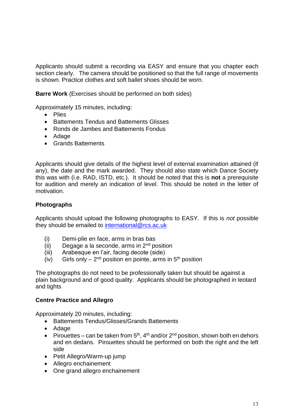Applicants should submit a recording via EASY and ensure that you chapter each section clearly. The camera should be positioned so that the full range of movements is shown. Practice clothes and soft ballet shoes should be worn.

**Barre Work** (Exercises should be performed on both sides)

Approximately 15 minutes, including:

- Plies
- Battements Tendus and Battements Glisses
- Ronds de Jambes and Battements Fondus
- Adage
- Grands Battements

Applicants should give details of the highest level of external examination attained (if any), the date and the mark awarded. They should also state which Dance Society this was with (i.e. RAD, ISTD, etc.). It should be noted that this is **not** a prerequisite for audition and merely an indication of level. This should be noted in the letter of motivation.

## **Photographs**

Applicants should upload the following photographs to EASY. If this is *not* possible they should be emailed to [international@rcs.ac.uk](mailto:international@rcs.ac.uk)

- (i) Demi-plie en face, arms in bras bas
- $(ii)$  Degage a la seconde, arms in  $2<sup>nd</sup>$  position
- (iii) Arabesque en l'air, facing decote (side)
- (iv) Girls only  $2^{nd}$  position en pointe, arms in  $5^{th}$  position

The photographs do not need to be professionally taken but should be against a plain background and of good quality. Applicants should be photographed in leotard and tights

#### **Centre Practice and Allegro**

Approximately 20 minutes, including:

- Battements Tendus/Glisses/Grands Battements
- Adage
- Pirouettes can be taken from  $5<sup>th</sup>$ , 4<sup>th</sup> and/or  $2<sup>nd</sup>$  position, shown both en dehors and en dedans. Pirouettes should be performed on both the right and the left side
- Petit Allegro/Warm-up jump
- Allegro enchainement
- One grand allegro enchainement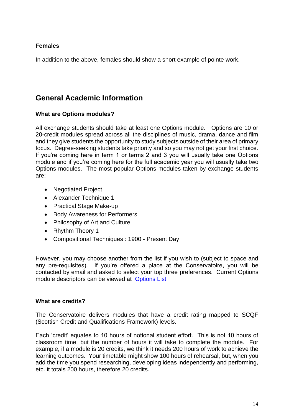# **Females**

In addition to the above, females should show a short example of pointe work.

# **General Academic Information**

# **What are Options modules?**

All exchange students should take at least one Options module. Options are 10 or 20-credit modules spread across all the disciplines of music, drama, dance and film and they give students the opportunity to study subjects outside of their area of primary focus. Degree-seeking students take priority and so you may not get your first choice. If you're coming here in term 1 or terms 2 and 3 you will usually take one Options module and if you're coming here for the full academic year you will usually take two Options modules. The most popular Options modules taken by exchange students are:

- Negotiated Project
- Alexander Technique 1
- Practical Stage Make-up
- Body Awareness for Performers
- Philosophy of Art and Culture
- Rhythm Theory 1
- Compositional Techniques : 1900 Present Day

However, you may choose another from the list if you wish to (subject to space and any pre-requisites). If you're offered a place at the Conservatoire, you will be contacted by email and asked to select your top three preferences. Current Options module descriptors can be viewed at [Options List](https://inspire.rcs.ac.uk/course/view.php?id=5019)

#### **What are credits?**

The Conservatoire delivers modules that have a credit rating mapped to SCQF (Scottish Credit and Qualifications Framework) levels.

Each 'credit' equates to 10 hours of notional student effort. This is not 10 hours of classroom time, but the number of hours it will take to complete the module. For example, if a module is 20 credits, we think it needs 200 hours of work to achieve the learning outcomes. Your timetable might show 100 hours of rehearsal, but, when you add the time you spend researching, developing ideas independently and performing, etc. it totals 200 hours, therefore 20 credits.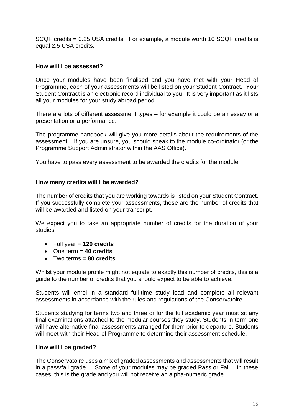SCQF credits = 0.25 USA credits. For example, a module worth 10 SCQF credits is equal 2.5 USA credits.

# **How will I be assessed?**

Once your modules have been finalised and you have met with your Head of Programme, each of your assessments will be listed on your Student Contract. Your Student Contract is an electronic record individual to you. It is very important as it lists all your modules for your study abroad period.

There are lots of different assessment types – for example it could be an essay or a presentation or a performance.

The programme handbook will give you more details about the requirements of the assessment. If you are unsure, you should speak to the module co-ordinator (or the Programme Support Administrator within the AAS Office).

You have to pass every assessment to be awarded the credits for the module.

#### **How many credits will I be awarded?**

The number of credits that you are working towards is listed on your Student Contract. If you successfully complete your assessments, these are the number of credits that will be awarded and listed on your transcript.

We expect you to take an appropriate number of credits for the duration of your studies.

- Full year = **120 credits**
- One term = **40 credits**
- Two terms = **80 credits**

Whilst your module profile might not equate to exactly this number of credits, this is a guide to the number of credits that you should expect to be able to achieve.

Students will enrol in a standard full-time study load and complete all relevant assessments in accordance with the rules and regulations of the Conservatoire.

Students studying for terms two and three or for the full academic year must sit any final examinations attached to the modular courses they study. Students in term one will have alternative final assessments arranged for them prior to departure. Students will meet with their Head of Programme to determine their assessment schedule.

#### **How will I be graded?**

The Conservatoire uses a mix of graded assessments and assessments that will result in a pass/fail grade. Some of your modules may be graded Pass or Fail. In these cases, this is the grade and you will not receive an alpha-numeric grade.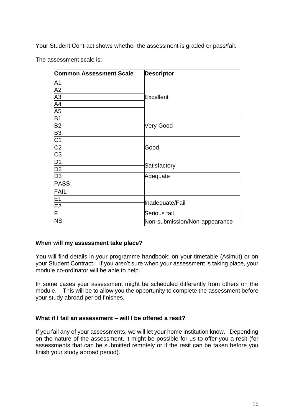Your Student Contract shows whether the assessment is graded or pass/fail.

The assessment scale is:

| <b>Common Assessment Scale</b> | <b>Descriptor</b>             |
|--------------------------------|-------------------------------|
| A1                             | <b>Excellent</b>              |
| A2<br>A3<br>A4                 |                               |
|                                |                               |
|                                |                               |
| A <sub>5</sub>                 |                               |
| B <sub>1</sub>                 | <b>Very Good</b>              |
| <b>B2</b>                      |                               |
| B <sub>3</sub>                 |                               |
|                                |                               |
|                                | Good                          |
| $rac{C1}{C2}$ $rac{C3}{D1}$    |                               |
|                                | Satisfactory                  |
| $\overline{D2}$                |                               |
| D <sub>3</sub>                 | Adequate                      |
| <b>PASS</b>                    |                               |
| <b>FAIL</b>                    |                               |
| E <sub>1</sub>                 | Inadequate/Fail               |
| E <sub>2</sub>                 |                               |
| F                              | Serious fail                  |
| <b>NS</b>                      | Non-submission/Non-appearance |

#### **When will my assessment take place?**

You will find details in your programme handbook; on your timetable (Asimut) or on your Student Contract. If you aren't sure when your assessment is taking place, your module co-ordinator will be able to help.

In some cases your assessment might be scheduled differently from others on the module. This will be to allow you the opportunity to complete the assessment before your study abroad period finishes.

#### **What if I fail an assessment – will I be offered a resit?**

If you fail any of your assessments, we will let your home institution know. Depending on the nature of the assessment, it might be possible for us to offer you a resit (for assessments that can be submitted remotely or if the resit can be taken before you finish your study abroad period).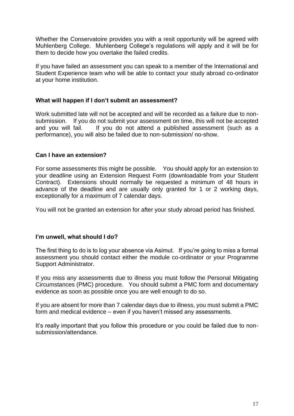Whether the Conservatoire provides you with a resit opportunity will be agreed with Muhlenberg College. Muhlenberg College's regulations will apply and it will be for them to decide how you overtake the failed credits.

If you have failed an assessment you can speak to a member of the International and Student Experience team who will be able to contact your study abroad co-ordinator at your home institution.

## **What will happen if I don't submit an assessment?**

Work submitted late will not be accepted and will be recorded as a failure due to nonsubmission. If you do not submit your assessment on time, this will not be accepted and you will fail. If you do not attend a published assessment (such as a performance), you will also be failed due to non-submission/ no-show.

## **Can I have an extension?**

For some assessments this might be possible. You should apply for an extension to your deadline using an Extension Request Form (downloadable from your Student Contract). Extensions should normally be requested a minimum of 48 hours in advance of the deadline and are usually only granted for 1 or 2 working days, exceptionally for a maximum of 7 calendar days.

You will not be granted an extension for after your study abroad period has finished.

#### **I'm unwell, what should I do?**

The first thing to do is to log your absence via Asimut. If you're going to miss a formal assessment you should contact either the module co-ordinator or your Programme Support Administrator.

If you miss any assessments due to illness you must follow the Personal Mitigating Circumstances (PMC) procedure. You should submit a PMC form and documentary evidence as soon as possible once you are well enough to do so.

If you are absent for more than 7 calendar days due to illness, you must submit a PMC form and medical evidence – even if you haven't missed any assessments.

It's really important that you follow this procedure or you could be failed due to nonsubmission/attendance.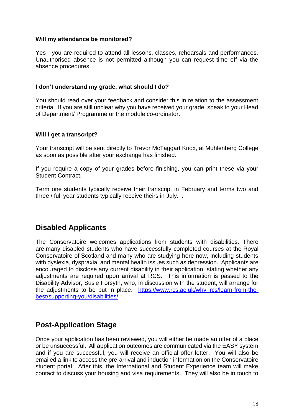## **Will my attendance be monitored?**

Yes - you are required to attend all lessons, classes, rehearsals and performances. Unauthorised absence is not permitted although you can request time off via the absence procedures.

## **I don't understand my grade, what should I do?**

You should read over your feedback and consider this in relation to the assessment criteria. If you are still unclear why you have received your grade, speak to your Head of Department/ Programme or the module co-ordinator.

## **Will I get a transcript?**

Your transcript will be sent directly to Trevor McTaggart Knox, at Muhlenberg College as soon as possible after your exchange has finished.

If you require a copy of your grades before finishing, you can print these via your Student Contract.

Term one students typically receive their transcript in February and terms two and three / full year students typically receive theirs in July. .

# **Disabled Applicants**

The Conservatoire welcomes applications from students with disabilities. There are many disabled students who have successfully completed courses at the Royal Conservatoire of Scotland and many who are studying here now, including students with dyslexia, dyspraxia, and mental health issues such as depression. Applicants are encouraged to disclose any current disability in their application, stating whether any adjustments are required upon arrival at RCS. This information is passed to the Disability Advisor, Susie Forsyth, who, in discussion with the student, will arrange for the adjustments to be put in place. https://www.rcs.ac.uk/why rcs/learn-from-the[best/supporting-you/disabilities/](https://www.rcs.ac.uk/why_rcs/learn-from-the-best/supporting-you/disabilities/)

# **Post-Application Stage**

Once your application has been reviewed, you will either be made an offer of a place or be unsuccessful. All application outcomes are communicated via the EASY system and if you are successful, you will receive an official offer letter. You will also be emailed a link to access the pre-arrival and induction information on the Conservatoire student portal. After this, the International and Student Experience team will make contact to discuss your housing and visa requirements. They will also be in touch to